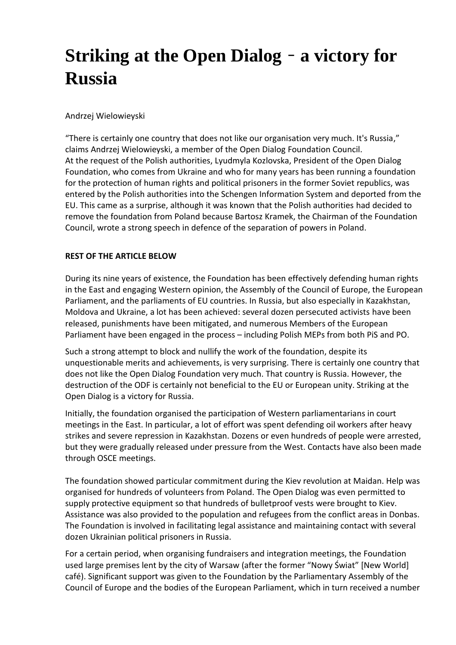## **Striking at the Open Dialog** – **a victory for Russia**

## Andrzej Wielowieyski

"There is certainly one country that does not like our organisation very much. It's Russia," claims Andrzej Wielowieyski, a member of the Open Dialog Foundation Council. At the request of the Polish authorities, Lyudmyla Kozlovska, President of the Open Dialog Foundation, who comes from Ukraine and who for many years has been running a foundation for the protection of human rights and political prisoners in the former Soviet republics, was entered by the Polish authorities into the Schengen Information System and deported from the EU. This came as a surprise, although it was known that the Polish authorities had decided to remove the foundation from Poland because Bartosz Kramek, the Chairman of the Foundation Council, wrote a strong speech in defence of the separation of powers in Poland.

## **REST OF THE ARTICLE BELOW**

During its nine years of existence, the Foundation has been effectively defending human rights in the East and engaging Western opinion, the Assembly of the Council of Europe, the European Parliament, and the parliaments of EU countries. In Russia, but also especially in Kazakhstan, Moldova and Ukraine, a lot has been achieved: several dozen persecuted activists have been released, punishments have been mitigated, and numerous Members of the European Parliament have been engaged in the process – including Polish MEPs from both PiS and PO.

Such a strong attempt to block and nullify the work of the foundation, despite its unquestionable merits and achievements, is very surprising. There is certainly one country that does not like the Open Dialog Foundation very much. That country is Russia. However, the destruction of the ODF is certainly not beneficial to the EU or European unity. Striking at the Open Dialog is a victory for Russia.

Initially, the foundation organised the participation of Western parliamentarians in court meetings in the East. In particular, a lot of effort was spent defending oil workers after heavy strikes and severe repression in Kazakhstan. Dozens or even hundreds of people were arrested, but they were gradually released under pressure from the West. Contacts have also been made through OSCE meetings.

The foundation showed particular commitment during the Kiev revolution at Maidan. Help was organised for hundreds of volunteers from Poland. The Open Dialog was even permitted to supply protective equipment so that hundreds of bulletproof vests were brought to Kiev. Assistance was also provided to the population and refugees from the conflict areas in Donbas. The Foundation is involved in facilitating legal assistance and maintaining contact with several dozen Ukrainian political prisoners in Russia.

For a certain period, when organising fundraisers and integration meetings, the Foundation used large premises lent by the city of Warsaw (after the former "Nowy Świat" [New World] café). Significant support was given to the Foundation by the Parliamentary Assembly of the Council of Europe and the bodies of the European Parliament, which in turn received a number